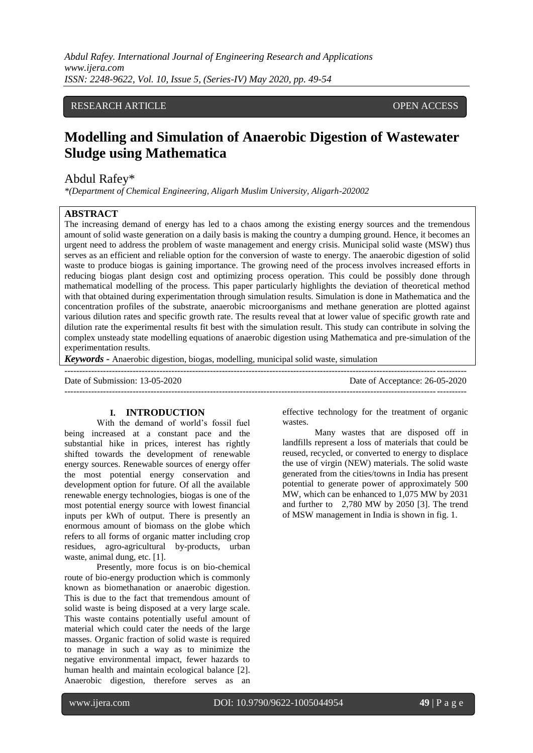*Abdul Rafey. International Journal of Engineering Research and Applications www.ijera.com ISSN: 2248-9622, Vol. 10, Issue 5, (Series-IV) May 2020, pp. 49-54*

# RESEARCH ARTICLE **CONSERVERS** OPEN ACCESS

# **Modelling and Simulation of Anaerobic Digestion of Wastewater Sludge using Mathematica**

# Abdul Rafey\*

*\*(Department of Chemical Engineering, Aligarh Muslim University, Aligarh-202002*

### **ABSTRACT**

The increasing demand of energy has led to a chaos among the existing energy sources and the tremendous amount of solid waste generation on a daily basis is making the country a dumping ground. Hence, it becomes an urgent need to address the problem of waste management and energy crisis. Municipal solid waste (MSW) thus serves as an efficient and reliable option for the conversion of waste to energy. The anaerobic digestion of solid waste to produce biogas is gaining importance. The growing need of the process involves increased efforts in reducing biogas plant design cost and optimizing process operation. This could be possibly done through mathematical modelling of the process. This paper particularly highlights the deviation of theoretical method with that obtained during experimentation through simulation results. Simulation is done in Mathematica and the concentration profiles of the substrate, anaerobic microorganisms and methane generation are plotted against various dilution rates and specific growth rate. The results reveal that at lower value of specific growth rate and dilution rate the experimental results fit best with the simulation result. This study can contribute in solving the complex unsteady state modelling equations of anaerobic digestion using Mathematica and pre-simulation of the experimentation results.

*Keywords* **-** Anaerobic digestion, biogas, modelling, municipal solid waste, simulation

--------------------------------------------------------------------------------------------------------------------------------------- Date of Submission: 13-05-2020 Date of Acceptance: 26-05-2020 ---------------------------------------------------------------------------------------------------------------------------------------

#### **I. INTRODUCTION**

With the demand of world"s fossil fuel being increased at a constant pace and the substantial hike in prices, interest has rightly shifted towards the development of renewable energy sources. Renewable sources of energy offer the most potential energy conservation and development option for future. Of all the available renewable energy technologies, biogas is one of the most potential energy source with lowest financial inputs per kWh of output. There is presently an enormous amount of biomass on the globe which refers to all forms of organic matter including crop residues, agro-agricultural by-products, urban waste, animal dung, etc. [1].

Presently, more focus is on bio-chemical route of bio-energy production which is commonly known as biomethanation or anaerobic digestion. This is due to the fact that tremendous amount of solid waste is being disposed at a very large scale. This waste contains potentially useful amount of material which could cater the needs of the large masses. Organic fraction of solid waste is required to manage in such a way as to minimize the negative environmental impact, fewer hazards to human health and maintain ecological balance [2]. Anaerobic digestion, therefore serves as an effective technology for the treatment of organic wastes.

Many wastes that are disposed off in landfills represent a loss of materials that could be reused, recycled, or converted to energy to displace the use of virgin (NEW) materials. The solid waste generated from the cities/towns in India has present potential to generate power of approximately 500 MW, which can be enhanced to 1,075 MW by 2031 and further to 2,780 MW by 2050 [3]. The trend of MSW management in India is shown in fig. 1.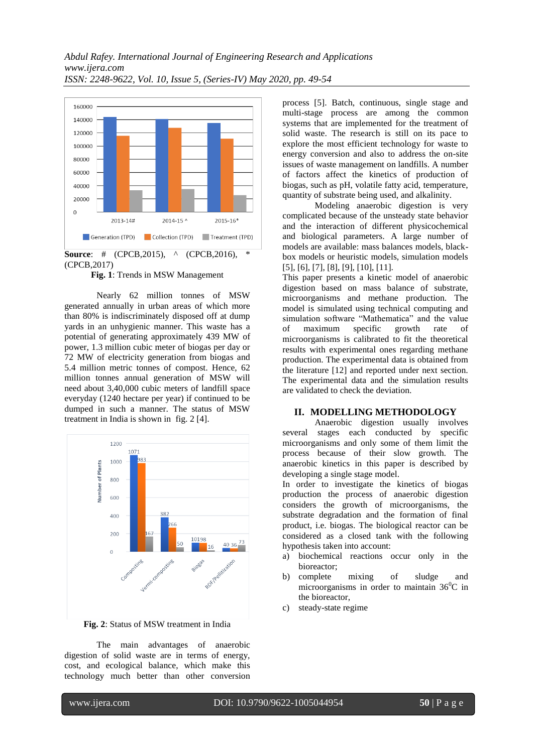

**Fig. 1**: Trends in MSW Management

Nearly 62 million tonnes of MSW generated annually in urban areas of which more than 80% is indiscriminately disposed off at dump yards in an unhygienic manner. This waste has a potential of generating approximately 439 MW of power, 1.3 million cubic meter of biogas per day or 72 MW of electricity generation from biogas and 5.4 million metric tonnes of compost. Hence, 62 million tonnes annual generation of MSW will need about 3,40,000 cubic meters of landfill space everyday (1240 hectare per year) if continued to be dumped in such a manner. The status of MSW treatment in India is shown in fig. 2 [4].



**Fig. 2**: Status of MSW treatment in India

The main advantages of anaerobic digestion of solid waste are in terms of energy, cost, and ecological balance, which make this technology much better than other conversion process [5]. Batch, continuous, single stage and multi-stage process are among the common systems that are implemented for the treatment of solid waste. The research is still on its pace to explore the most efficient technology for waste to energy conversion and also to address the on-site issues of waste management on landfills. A number of factors affect the kinetics of production of biogas, such as pH, volatile fatty acid, temperature, quantity of substrate being used, and alkalinity.

Modeling anaerobic digestion is very complicated because of the unsteady state behavior and the interaction of different physicochemical and biological parameters. A large number of models are available: mass balances models, blackbox models or heuristic models, simulation models [5], [6], [7], [8], [9], [10], [11].

This paper presents a kinetic model of anaerobic digestion based on mass balance of substrate, microorganisms and methane production. The model is simulated using technical computing and simulation software "Mathematica" and the value of maximum specific growth rate of microorganisms is calibrated to fit the theoretical results with experimental ones regarding methane production. The experimental data is obtained from the literature [12] and reported under next section. The experimental data and the simulation results are validated to check the deviation.

#### **II. MODELLING METHODOLOGY**

Anaerobic digestion usually involves several stages each conducted by specific microorganisms and only some of them limit the process because of their slow growth. The anaerobic kinetics in this paper is described by developing a single stage model.

In order to investigate the kinetics of biogas production the process of anaerobic digestion considers the growth of microorganisms, the substrate degradation and the formation of final product, i.e. biogas. The biological reactor can be considered as a closed tank with the following hypothesis taken into account:

- a) biochemical reactions occur only in the bioreactor;
- b) complete mixing of sludge and microorganisms in order to maintain  $36^{\circ}$ C in the bioreactor,
- c) steady-state regime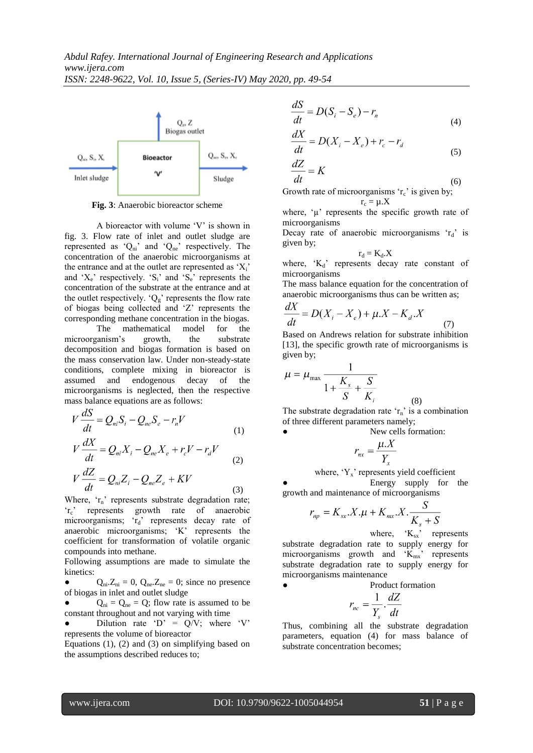

**Fig. 3**: Anaerobic bioreactor scheme

A bioreactor with volume "V" is shown in fig. 3. Flow rate of inlet and outlet sludge are represented as ' $Q_{ni}$ ' and ' $Q_{ne}$ ' respectively. The concentration of the anaerobic microorganisms at the entrance and at the outlet are represented as  $'X_i'$ and  $X_e$  respectively.  $S_i$  and  $S_e$  represents the concentration of the substrate at the entrance and at the outlet respectively.  $^{\circ}Q_{g}$ ' represents the flow rate of biogas being collected and "Z" represents the corresponding methane concentration in the biogas.

The mathematical model for the microorganism"s growth, the substrate decomposition and biogas formation is based on the mass conservation law. Under non-steady-state conditions, complete mixing in bioreactor is assumed and endogenous decay of the microorganisms is neglected, then the respective mass balance equations are as follows:

$$
V\frac{dS}{dt} = Q_{ni}S_i - Q_{ne}S_e - r_nV
$$
\n(1)

$$
V\frac{dX}{dt} = Q_{ni}X_i - Q_{ne}X_e + r_cV - r_dV
$$
\n<sup>(2)</sup>

$$
V\frac{dZ}{dt} = Q_{ni}Z_i - Q_{ne}Z_e + KV
$$
\n(3)

Where, 'r<sub>n</sub>' represents substrate degradation rate; 'r<sub>c</sub>' represents growth rate of anaerobic microorganisms; 'rd' represents decay rate of anaerobic microorganisms; "K" represents the coefficient for transformation of volatile organic compounds into methane.

Following assumptions are made to simulate the kinetics:

 $Q_{ni}.Z_{ni} = 0$ ,  $Q_{ne}.Z_{ne} = 0$ ; since no presence of biogas in inlet and outlet sludge

 $Q_{ni} = Q_{ne} = Q$ ; flow rate is assumed to be constant throughout and not varying with time

Dilution rate 'D' =  $Q/V$ ; where 'V' represents the volume of bioreactor

Equations  $(1)$ ,  $(2)$  and  $(3)$  on simplifying based on the assumptions described reduces to;

$$
\frac{dS}{dt} = D(S_i - S_e) - r_n \tag{4}
$$

$$
\frac{dX}{dt} = D(X_i - X_e) + r_c - r_d \tag{5}
$$

$$
\frac{dZ}{dt} = K
$$
\n<sup>(6)</sup>

Growth rate of microorganisms  $r_c$  is given by;  $r<sub>0</sub> = u \cdot X$ 

where, 
$$
^{\circ}\mu
$$
 represents the specific growth rate of microorganisms

Decay rate of anaerobic microorganisms  $r_d$  is given by;

$$
r_d = K_d.X
$$

where,  $K_d$  represents decay rate constant of microorganisms

The mass balance equation for the concentration of anaerobic microorganisms thus can be written as;

$$
\frac{dX}{dt} = D(X_i - X_e) + \mu X - K_d X
$$
\n(7)

Based on Andrews relation for substrate inhibition [13], the specific growth rate of microorganisms is given by;

$$
\mu = \mu_{\text{max}} \frac{1}{1 + \frac{K_s}{S} + \frac{S}{K_i}}
$$
\n(8)

The substrate degradation rate ' $r_n$ ' is a combination of three different parameters namely;

New cells formation:

$$
r_{nx} = \frac{\mu.X}{Y_x}
$$

where,  $Y_x$  represents yield coefficient Energy supply for the growth and maintenance of microorganisms

$$
r_{np} = K_{sx}.X.\mu + K_{mx}.X.\frac{S}{K_s + S}
$$

where,  $K_{sx}$  represents substrate degradation rate to supply energy for microorganisms growth and  $K_{mx}$  represents substrate degradation rate to supply energy for microorganisms maintenance

Product formation

$$
r_{nc} = \frac{1}{Y_s} \cdot \frac{dZ}{dt}
$$

Thus, combining all the substrate degradation parameters, equation (4) for mass balance of substrate concentration becomes;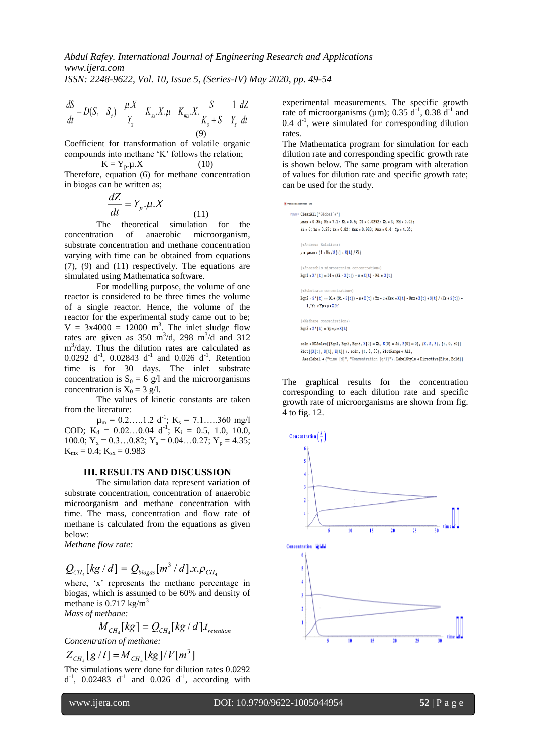(11)

in Lea

$$
\frac{dS}{dt} = D(S_i - S_e) - \frac{\mu}{Y_x} - K_{xx} \cdot X \cdot \mu - K_{mx} \cdot X \cdot \frac{S}{K_s + S} - \frac{1}{Y_s} \frac{dZ}{dt}
$$
\n(9)

Coefficient for transformation of volatile organic compounds into methane "K" follows the relation;

$$
K = Y_p. \mu.X
$$
 (10)

Therefore, equation (6) for methane concentration in biogas can be written as;

$$
\frac{dZ}{dt} = Y_p \cdot \mu \cdot X
$$

The theoretical simulation for the concentration of anaerobic microorganism, substrate concentration and methane concentration varying with time can be obtained from equations (7), (9) and (11) respectively. The equations are simulated using Mathematica software.

For modelling purpose, the volume of one reactor is considered to be three times the volume of a single reactor. Hence, the volume of the reactor for the experimental study came out to be;  $V = 3x4000 = 12000$  m<sup>3</sup>. The inlet sludge flow rates are given as  $350 \text{ m}^3/\text{d}$ ,  $298 \text{ m}^3/\text{d}$  and  $312$ m 3 /day. Thus the dilution rates are calculated as  $0.0292 \, \mathrm{d}^{-1}$ ,  $0.02843 \, \mathrm{d}^{-1}$  and  $0.026 \, \mathrm{d}^{-1}$ . Retention time is for 30 days. The inlet substrate concentration is  $S_0 = 6$  g/l and the microorganisms concentration is  $X_0 = 3$  g/l.

The values of kinetic constants are taken from the literature:

 $\mu_{\rm m} = 0.2...1.2 \text{ d}^{-1}; \text{ K}_{\rm s} = 7.1...360 \text{ mg/l}$ COD;  $K_d = 0.02...0.04 d^{-1}$ ;  $K_i = 0.5, 1.0, 10.0,$ 100.0;  $Y_x = 0.3...0.82$ ;  $Y_s = 0.04...0.27$ ;  $Y_p = 4.35$ ;  $K_{mx} = 0.4$ ;  $K_{sx} = 0.983$ 

# **III. RESULTS AND DISCUSSION**

The simulation data represent variation of substrate concentration, concentration of anaerobic microorganism and methane concentration with time. The mass, concentration and flow rate of methane is calculated from the equations as given below:

*Methane flow rate:*

$$
Q_{CH_4}[kg/d] = Q_{biogas}[m^3/d].x.\rho_{CH_4}
$$

where, 'x' represents the methane percentage in biogas, which is assumed to be 60% and density of methane is  $0.717 \text{ kg/m}^3$ 

*Mass of methane:*

$$
M_{CH_4}[kg] = Q_{CH_4}[kg/d] \cdot t_{retenion}
$$
  
Concentration of methane:

$$
Z_{CH_4}[g/l] = M_{CH_4}[kg]/V[m^3]
$$

The simulations were done for dilution rates 0.0292  $d^{-1}$ , 0.02483  $d^{-1}$  and 0.026  $d^{-1}$ , according with experimental measurements. The specific growth rate of microorganisms ( $\mu$ m); 0.35 d<sup>-1</sup>, 0.38 d<sup>-1</sup> and  $0.4$   $d^{-1}$ , were simulated for corresponding dilution rates.

The Mathematica program for simulation for each dilution rate and corresponding specific growth rate is shown below. The same program with alteration of values for dilution rate and specific growth rate; can be used for the study.

The graphical results for the concentration corresponding to each dilution rate and specific growth rate of microorganisms are shown from fig. 4 to fig. 12.

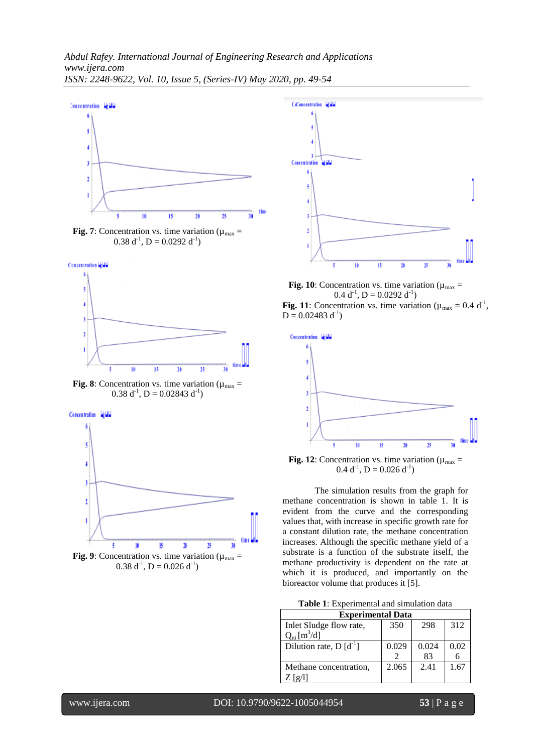







**Fig. 8**: Concentration vs. time variation ( $\mu_{\text{max}}$  =  $0.38 d^{-1}$ , D = 0.02843 d<sup>-1</sup>)



 $0.38 d^{-1}$ , D = 0.026 d<sup>-1</sup>)



**Fig. 10**: Concentration vs. time variation ( $\mu_{\text{max}}$  =  $0.4 d^{-1}$ , D = 0.0292 d<sup>-1</sup>) Fig. 11: Concentration vs. time variation ( $\mu_{\text{max}} = 0.4 \text{ d}^{-1}$ ,  $D = 0.02483 d^{-1}$ 



**Fig. 12**: Concentration vs. time variation ( $\mu_{\text{max}}$  =  $0.4 d^{-1}$ , D = 0.026 d<sup>-1</sup>)

The simulation results from the graph for methane concentration is shown in table 1. It is evident from the curve and the corresponding values that, with increase in specific growth rate for a constant dilution rate, the methane concentration increases. Although the specific methane yield of a substrate is a function of the substrate itself, the methane productivity is dependent on the rate at which it is produced, and importantly on the bioreactor volume that produces it [5].

| <b>Experimental Data</b>   |       |       |      |  |
|----------------------------|-------|-------|------|--|
| Inlet Sludge flow rate,    | 350   | 298   | 312  |  |
| $Q_{ni} [m^3/d]$           |       |       |      |  |
| Dilution rate, $D[d^{-1}]$ | 0.029 | 0.024 | 0.02 |  |
|                            |       | 83    |      |  |
| Methane concentration,     | 2.065 | 2.41  | 1.67 |  |
| Z [9/1]                    |       |       |      |  |